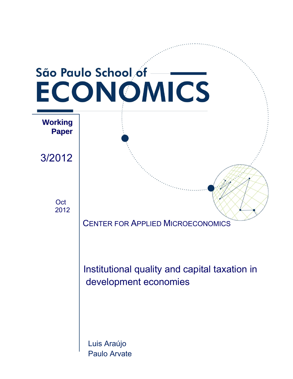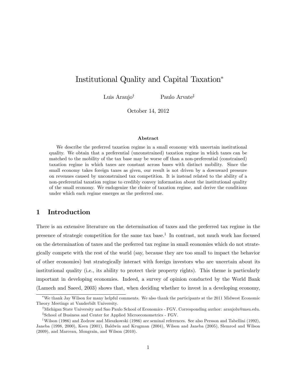# Institutional Quality and Capital Taxation

Luis Araujo<sup>†</sup> Paulo Arvate<sup>‡</sup>

October 14, 2012

#### Abstract

We describe the preferred taxation regime in a small economy with uncertain institutional quality. We obtain that a preferential (unconstrained) taxation regime in which taxes can be matched to the mobility of the tax base may be worse off than a non-preferential (constrained) taxation regime in which taxes are constant across bases with distinct mobility. Since the small economy takes foreign taxes as given, our result is not driven by a downward pressure on revenues caused by unconstrained tax competition. It is instead related to the ability of a non-preferential taxation regime to credibly convey information about the institutional quality of the small economy. We endogenize the choice of taxation regime, and derive the conditions under which each regime emerges as the preferred one.

# 1 Introduction

There is an extensive literature on the determination of taxes and the preferred tax regime in the presence of strategic competition for the same tax base.<sup>1</sup> In contrast, not much work has focused on the determination of taxes and the preferred tax regime in small economies which do not strategically compete with the rest of the world (say, because they are too small to impact the behavior of other economies) but strategically interact with foreign investors who are uncertain about its institutional quality (i.e., its ability to protect their property rights). This theme is particularly important in developing economies. Indeed, a survey of opinion conducted by the World Bank (Lamech and Saeed, 2003) shows that, when deciding whether to invest in a developing economy,

We thank Jay Wilson for many helpful comments. We also thank the participants at the 2011 Midwest Economic Theory Meetings at Vanderbilt University.

<sup>&</sup>lt;sup>†</sup>Michigan State University and Sao Paulo School of Economics - FGV. Corresponding author: araujolu@msu.edu. z School of Business and Center for Applied Microeconometrics - FGV.

<sup>&</sup>lt;sup>1</sup>Wilson (1986) and Zodrow and Mieszkowski (1986) are seminal references. See also Persson and Tabellini (1992), Janeba (1998, 2000), Keen (2001), Baldwin and Krugman (2004), Wilson and Janeba (2005), Slemrod and Wilson (2009), and Marceau, Mongrain, and Wilson (2010).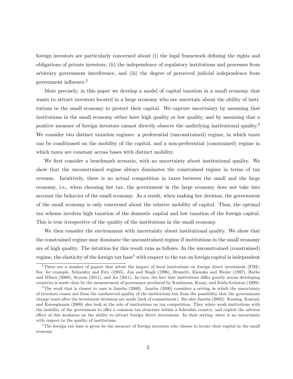foreign investors are particularly concerned about (i) the legal framework defining the rights and obligations of private investors, (ii) the independence of regulatory institutions and processes from arbitrary government interference, and (iii) the degree of perceived judicial independence from government influence. $^{2}$ 

More precisely, in this paper we develop a model of capital taxation in a small economy that wants to attract investors located in a large economy who are uncertain about the ability of institutions in the small economy to protect their capital. We capture uncertainty by assuming that institutions in the small economy either have high quality or low quality, and by assuming that a positive measure of foreign investors cannot directly observe the underlying institutional quality.<sup>3</sup> We consider two distinct taxation regimes: a preferential (unconstrained) regime, in which taxes can be conditioned on the mobility of the capital, and a non-preferential (constrained) regime in which taxes are constant across bases with distinct mobility.

We first consider a benchmark scenario, with no uncertainty about institutional quality. We show that the unconstrained regime always dominates the constrained regime in terms of tax revenue. Intuitively, there is no actual competition in taxes between the small and the large economy, i.e., when choosing her tax, the government in the large economy does not take into account the behavior of the small economy. As a result, when making her decision, the government of the small economy is only concerned about the relative mobility of capital. Thus, the optimal tax scheme involves high taxation of the domestic capital and low taxation of the foreign capital. This is true irrespective of the quality of the institutions in the small economy.

We then consider the environment with uncertainty about institutional quality. We show that the constrained regime may dominate the unconstrained regime if institutions in the small economy are of high quality. The intuition for this result runs as follows. In the unconstrained (constrained) regime, the elasticity of the foreign tax base<sup>4</sup> with respect to the tax on foreign capital is independent

<sup>2</sup>There are a number of papers that attest the impact of local institutions on foreign direct investment (FDI). See, for example, Schneider and Frey (1985), Jun and Singh (1996), Brunetti, Kisunko and Weder (1997), Buthe and Milner  $(2008)$ , Seyoun  $(2011)$ , and An  $(2011)$ . In turn, the fact that institutions differ greatly across developing countries is made clear by the measurement of governance produced by Kaufmann, Kraay, and Zoido-Lobaton (1999).

<sup>&</sup>lt;sup>3</sup>The work that is closest to ours is Janeba (2000). Janeba (2000) considers a setting in which the uncertainty of investors comes not from the unobserved quality of the institutions but from the possibility that the governments change taxes after the investment decisions are made (lack of commitment). See also Janeba (2002). Kessing, Konrad, and Kotsogiannis (2009) also look at the role of institutions on tax competition. They relate weak institutions with the inability of the government to offer a common tax structure within a federalist country, and exploit the adverse effect of this weakness on the ability to attract foreign direct investment. In their setting, there is no uncertainty with respect to the quality of institutions.

<sup>4</sup>The foreign tax base is given by the measure of foreign investors who choose to locate their capital in the small economy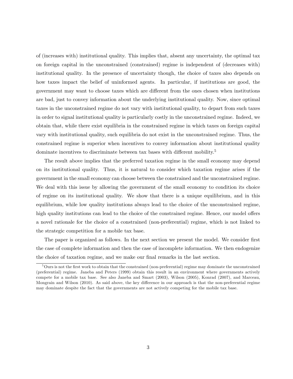of (increases with) institutional quality. This implies that, absent any uncertainty, the optimal tax on foreign capital in the unconstrained (constrained) regime is independent of (decreases with) institutional quality. In the presence of uncertainty though, the choice of taxes also depends on how taxes impact the belief of uninformed agents. In particular, if institutions are good, the government may want to choose taxes which are different from the ones chosen when institutions are bad, just to convey information about the underlying institutional quality. Now, since optimal taxes in the unconstrained regime do not vary with institutional quality, to depart from such taxes in order to signal institutional quality is particularly costly in the unconstrained regime. Indeed, we obtain that, while there exist equilibria in the constrained regime in which taxes on foreign capital vary with institutional quality, such equilibria do not exist in the unconstrained regime. Thus, the constrained regime is superior when incentives to convey information about institutional quality dominate incentives to discriminate between tax bases with different mobility.<sup>5</sup>

The result above implies that the preferred taxation regime in the small economy may depend on its institutional quality. Thus, it is natural to consider which taxation regime arises if the government in the small economy can choose between the constrained and the unconstrained regime. We deal with this issue by allowing the government of the small economy to condition its choice of regime on its institutional quality. We show that there is a unique equilibrium, and in this equilibrium, while low quality institutions always lead to the choice of the unconstrained regime, high quality institutions can lead to the choice of the constrained regime. Hence, our model offers a novel rationale for the choice of a constrained (non-preferential) regime, which is not linked to the strategic competition for a mobile tax base.

The paper is organized as follows. In the next section we present the model. We consider first the case of complete information and then the case of incomplete information. We then endogenize the choice of taxation regime, and we make our final remarks in the last section.

 $5$ Ours is not the first work to obtain that the constrained (non-preferential) regime may dominate the unconstrained (preferential) regime. Janeba and Peters (1999) obtain this result in an environment where governments actively compete for a mobile tax base. See also Janeba and Smart (2003), Wilson (2005), Konrad (2007), and Marceau, Mongrain and Wilson (2010). As said above, the key difference in our approach is that the non-preferential regime may dominate despite the fact that the governments are not actively competing for the mobile tax base.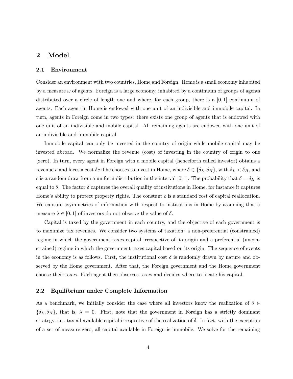### 2 Model

#### 2.1 Environment

Consider an environment with two countries, Home and Foreign. Home is a small economy inhabited by a measure  $\omega$  of agents. Foreign is a large economy, inhabited by a continuum of groups of agents distributed over a circle of length one and where, for each group, there is a  $[0, 1]$  continuum of agents. Each agent in Home is endowed with one unit of an indivisible and immobile capital. In turn, agents in Foreign come in two types: there exists one group of agents that is endowed with one unit of an indivisible and mobile capital. All remaining agents are endowed with one unit of an indivisible and immobile capital.

Immobile capital can only be invested in the country of origin while mobile capital may be invested abroad. We normalize the revenue (cost) of investing in the country of origin to one (zero). In turn, every agent in Foreign with a mobile capital (henceforth called investor) obtains a revenue v and faces a cost  $\delta c$  if he chooses to invest in Home, where  $\delta \in {\delta_L, \delta_H}$ , with  $\delta_L < \delta_H$ , and c is a random draw from a uniform distribution in the interval [0, 1]. The probability that  $\delta = \delta_H$  is equal to  $\theta$ . The factor  $\delta$  captures the overall quality of institutions in Home, for instance it captures Home's ability to protect property rights. The constant  $c$  is a standard cost of capital reallocation. We capture asymmetries of information with respect to institutions in Home by assuming that a measure  $\lambda \in [0, 1]$  of investors do not observe the value of  $\delta$ .

Capital is taxed by the government in each country, and the objective of each government is to maximize tax revenues. We consider two systems of taxation: a non-preferential (constrained) regime in which the government taxes capital irrespective of its origin and a preferential (unconstrained) regime in which the government taxes capital based on its origin. The sequence of events in the economy is as follows. First, the institutional cost  $\delta$  is randomly drawn by nature and observed by the Home government. After that, the Foreign government and the Home government choose their taxes. Each agent then observes taxes and decides where to locate his capital.

### 2.2 Equilibrium under Complete Information

As a benchmark, we initially consider the case where all investors know the realization of  $\delta \in$  $\{\delta_L, \delta_H\}$ , that is,  $\lambda = 0$ . First, note that the government in Foreign has a strictly dominant strategy, i.e., tax all available capital irrespective of the realization of  $\delta$ . In fact, with the exception of a set of measure zero, all capital available in Foreign is immobile. We solve for the remaining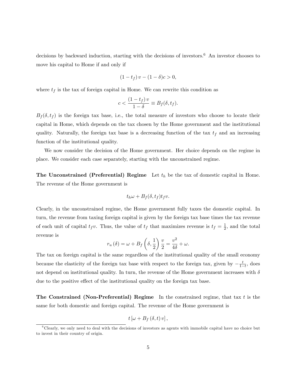decisions by backward induction, starting with the decisions of investors.<sup>6</sup> An investor chooses to move his capital to Home if and only if

$$
(1 - t_f) v - (1 - \delta)c > 0,
$$

where  $t_f$  is the tax of foreign capital in Home. We can rewrite this condition as

$$
c < \frac{(1 - t_f) v}{1 - \delta} \equiv B_f(\delta, t_f).
$$

 $B_f(\delta, t_f)$  is the foreign tax base, i.e., the total measure of investors who choose to locate their capital in Home, which depends on the tax chosen by the Home government and the institutional quality. Naturally, the foreign tax base is a decreasing function of the tax  $t_f$  and an increasing function of the institutional quality.

We now consider the decision of the Home government. Her choice depends on the regime in place. We consider each case separately, starting with the unconstrained regime.

The Unconstrained (Preferential) Regime Let  $t<sub>h</sub>$  be the tax of domestic capital in Home. The revenue of the Home government is

$$
t_h \omega + B_f(\delta, t_f) t_f v.
$$

Clearly, in the unconstrained regime, the Home government fully taxes the domestic capital. In turn, the revenue from taxing foreign capital is given by the foreign tax base times the tax revenue of each unit of capital  $t_f v$ . Thus, the value of  $t_f$  that maximizes revenue is  $t_f = \frac{1}{2}$  $\frac{1}{2}$ , and the total revenue is

$$
r_u(\delta) = \omega + B_f\left(\delta, \frac{1}{2}\right) \frac{v}{2} = \frac{v^2}{4\delta} + \omega.
$$

The tax on foreign capital is the same regardless of the institutional quality of the small economy because the elasticity of the foreign tax base with respect to the foreign tax, given by  $-\frac{t}{1-t}$  $\frac{t}{1-t}$ , does not depend on institutional quality. In turn, the revenue of the Home government increases with  $\delta$ due to the positive effect of the institutional quality on the foreign tax base.

The Constrained (Non-Preferential) Regime In the constrained regime, that tax  $t$  is the same for both domestic and foreign capital. The revenue of the Home government is

$$
t\left[\omega+B_{f}\left(\delta,t\right)v\right],
$$

 $6C$ learly, we only need to deal with the decisions of investors as agents with immobile capital have no choice but to invest in their country of origin.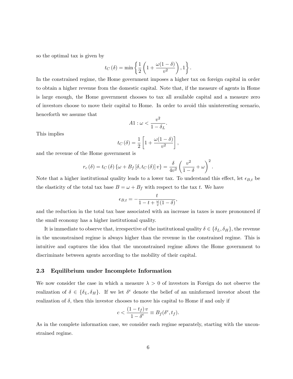so the optimal tax is given by

$$
t_C(\delta) = \min \left\{ \frac{1}{2} \left( 1 + \frac{\omega(1-\delta)}{v^2} \right), 1 \right\}.
$$

In the constrained regime, the Home government imposes a higher tax on foreign capital in order to obtain a higher revenue from the domestic capital. Note that, if the measure of agents in Home is large enough, the Home government chooses to tax all available capital and a measure zero of investors choose to move their capital to Home. In order to avoid this uninteresting scenario, henceforth we assume that

$$
A1: \omega < \frac{v^2}{1 - \delta_L}.
$$

This implies

$$
t_C(\delta) = \frac{1}{2} \left[ 1 + \frac{\omega(1-\delta)}{v^2} \right],
$$

and the revenue of the Home government is

$$
r_c(\delta) = t_C(\delta) \left\{ \omega + B_f \left[ \delta, t_C(\delta) \right] v \right\} = \frac{\delta}{4v^2} \left( \frac{v^2}{1 - \delta} + \omega \right)^2.
$$

Note that a higher institutional quality leads to a lower tax. To understand this effect, let  $\epsilon_{B,t}$  be the elasticity of the total tax base  $B = \omega + B_f$  with respect to the tax t. We have

$$
\epsilon_{B,t} = -\frac{t}{1 - t + \frac{\omega}{v}(1 - \delta)},
$$

and the reduction in the total tax base associated with an increase in taxes is more pronounced if the small economy has a higher institutional quality.

It is immediate to observe that, irrespective of the institutional quality  $\delta \in {\delta_L, \delta_H}$ , the revenue in the unconstrained regime is always higher than the revenue in the constrained regime. This is intuitive and captures the idea that the unconstrained regime allows the Home government to discriminate between agents according to the mobility of their capital.

#### 2.3 Equilibrium under Incomplete Information

We now consider the case in which a measure  $\lambda > 0$  of investors in Foreign do not observe the realization of  $\delta \in {\delta_L, \delta_H}$ . If we let  $\delta^e$  denote the belief of an uninformed investor about the realization of  $\delta$ , then this investor chooses to move his capital to Home if and only if

$$
c < \frac{(1 - t_f) v}{1 - \delta^e} \equiv B_f(\delta^e, t_f).
$$

As in the complete information case, we consider each regime separately, starting with the unconstrained regime.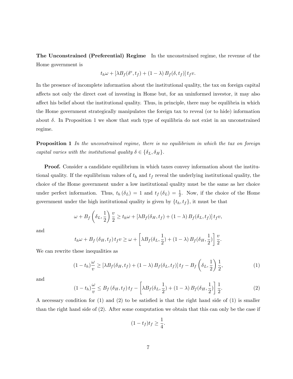The Unconstrained (Preferential) Regime In the unconstrained regime, the revenue of the Home government is

$$
t_h\omega + \left[\lambda B_f(\delta^e, t_f) + (1-\lambda) B_f(\delta, t_f)\right]t_f v.
$$

In the presence of incomplete information about the institutional quality, the tax on foreign capital affects not only the direct cost of investing in Home but, for an uninformed investor, it may also affect his belief about the institutional quality. Thus, in principle, there may be equilibria in which the Home government strategically manipulates the foreign tax to reveal (or to hide) information about  $\delta$ . In Proposition 1 we show that such type of equilibria do not exist in an unconstrained regime.

**Proposition 1** In the unconstrained regime, there is no equilibrium in which the tax on foreign capital varies with the institutional quality  $\delta \in {\delta_L, \delta_H}$ .

Proof. Consider a candidate equilibrium in which taxes convey information about the institutional quality. If the equilibrium values of  $t_h$  and  $t_f$  reveal the underlying institutional quality, the choice of the Home government under a low institutional quality must be the same as her choice under perfect information. Thus,  $t_h(\delta_L) = 1$  and  $t_f(\delta_L) = \frac{1}{2}$ . Now, if the choice of the Home government under the high institutional quality is given by  $\{t_h, t_f\}$ , it must be that

$$
\omega + B_f \left( \delta_L, \frac{1}{2} \right) \frac{v}{2} \ge t_h \omega + \left[ \lambda B_f(\delta_H, t_f) + (1 - \lambda) B_f(\delta_L, t_f) \right] t_f v,
$$

and

$$
t_h \omega + B_f \left( \delta_H, t_f \right) t_f v \ge \omega + \left[ \lambda B_f \left( \delta_L, \frac{1}{2} \right) + (1 - \lambda) B_f \left( \delta_H, \frac{1}{2} \right) \right] \frac{v}{2}.
$$

We can rewrite these inequalities as

$$
(1 - t_h)^{\omega} \geq \left[\lambda B_f(\delta_H, t_f) + (1 - \lambda) B_f(\delta_L, t_f)\right] t_f - B_f\left(\delta_L, \frac{1}{2}\right) \frac{1}{2},\tag{1}
$$

and

$$
(1-t_h)\frac{\omega}{v} \le B_f\left(\delta_H, t_f\right)t_f - \left[\lambda B_f(\delta_L, \frac{1}{2}) + (1-\lambda) B_f(\delta_H, \frac{1}{2})\right] \frac{1}{2}.
$$
 (2)

A necessary condition for  $(1)$  and  $(2)$  to be satisfied is that the right hand side of  $(1)$  is smaller than the right hand side of (2). After some computation we obtain that this can only be the case if

$$
(1-t_f)t_f \geq \frac{1}{4}.
$$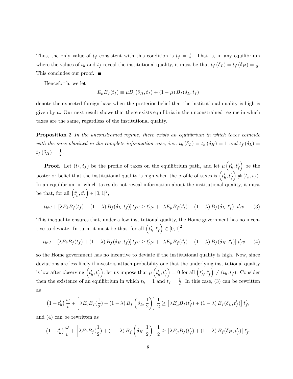Thus, the only value of  $t_f$  consistent with this condition is  $t_f = \frac{1}{2}$  $\frac{1}{2}$ . That is, in any equilibrium where the values of  $t_h$  and  $t_f$  reveal the institutional quality, it must be that  $t_f(\delta_L) = t_f(\delta_H) = \frac{1}{2}$ . This concludes our proof. ■

Henceforth, we let

$$
E_{\mu}B_f(t_f) \equiv \mu B_f(\delta_H, t_f) + (1 - \mu) B_f(\delta_L, t_f)
$$

denote the expected foreign base when the posterior belief that the institutional quality is high is given by  $\mu$ . Our next result shows that there exists equilibria in the unconstrained regime in which taxes are the same, regardless of the institutional quality.

**Proposition 2** In the unconstrained regime, there exists an equilibrium in which taxes coincide with the ones obtained in the complete information case, i.e.,  $t_h(\delta_L) = t_h(\delta_H) = 1$  and  $t_f(\delta_L) =$  $t_f(\delta_H) = \frac{1}{2}.$ 

**Proof.** Let  $(t_h, t_f)$  be the profile of taxes on the equilibrium path, and let  $\mu\left(t'_h, t'_f\right)$  be the posterior belief that the institutional quality is high when the profile of taxes is  $(t'_h, t'_f)$  $\Big) \neq (t_h, t_f).$ In an equilibrium in which taxes do not reveal information about the institutional quality, it must be that, for all  $\left(t_h', t_f' \right)$  $(0, 1]^2$ ,

$$
t_h \omega + \left[\lambda E_{\theta} B_f(t_f) + (1 - \lambda) B_f(\delta_L, t_f)\right] t_f v \ge t'_h \omega + \left[\lambda E_{\mu} B_f(t'_f) + (1 - \lambda) B_f(\delta_L, t'_f)\right] t'_f v. \tag{3}
$$

This inequality ensures that, under a low institutional quality, the Home government has no incentive to deviate. In turn, it must be that, for all  $\left(t_h', t_f' \right)$  $(0, 1]^2$ ,

$$
t_h \omega + \left[\lambda E_\theta B_f(t_f) + (1 - \lambda) B_f(\delta_H, t_f)\right] t_f v \ge t'_h \omega + \left[\lambda E_\mu B_f(t'_f) + (1 - \lambda) B_f(\delta_H, t'_f)\right] t'_f v, \quad (4)
$$

so the Home government has no incentive to deviate if the institutional quality is high. Now, since deviations are less likely if investors attach probability one that the underlying institutional quality is low after observing  $(t'_h, t'_f)$ ), let us impose that  $\mu\left(t_h', t_f'\right)$ ) = 0 for all  $\left(t_h', t_f' \right)$  $\Big) \neq (t_h, t_f)$ . Consider then the existence of an equilibrium in which  $t_h = 1$  and  $t_f = \frac{1}{2}$  $\frac{1}{2}$ . In this case, (3) can be rewritten as

$$
\left(1-t'_h\right)\frac{\omega}{v}+\left[\lambda E_{\theta}B_f\left(\frac{1}{2}\right)+(1-\lambda)B_f\left(\delta_L,\frac{1}{2}\right)\right]\frac{1}{2}\geq \left[\lambda E_{\mu}B_f\left(t'_f\right)+(1-\lambda)B_f\left(\delta_L,t'_f\right)\right]t'_f,
$$

and (4) can be rewritten as

$$
\left(1-t'_h\right)\frac{\omega}{v} + \left[\lambda E_\theta B_f\left(\frac{1}{2}\right) + \left(1-\lambda\right)B_f\left(\delta_H, \frac{1}{2}\right)\right] \frac{1}{2} \geq \left[\lambda E_\mu B_f\left(t'_f\right) + \left(1-\lambda\right)B_f\left(\delta_H, t'_f\right)\right] t'_f.
$$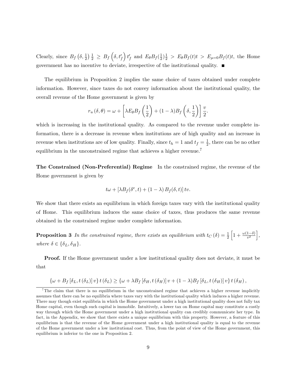Clearly, since  $B_f\left(\delta, \frac{1}{2}\right) \frac{1}{2} \geq B_f\left(\delta, t'_f\right)$  $t_f$  and  $E_{\theta}B_f(\frac{1}{2})$  $\frac{1}{2}$  $\frac{1}{2}$  >  $E_{\theta}B_f(t)t$  >  $E_{\mu=0}B_f(t)t$ , the Home government has no incentive to deviate, irrespective of the institutional quality.

The equilibrium in Proposition 2 implies the same choice of taxes obtained under complete information. However, since taxes do not convey information about the institutional quality, the overall revenue of the Home government is given by

$$
r_u(\delta, \theta) = \omega + \left[\lambda E_{\theta} B_f\left(\frac{1}{2}\right) + (1 - \lambda)B_f\left(\delta, \frac{1}{2}\right)\right] \frac{v}{2}.
$$

which is increasing in the institutional quality. As compared to the revenue under complete information, there is a decrease in revenue when institutions are of high quality and an increase in revenue when institutions are of low quality. Finally, since  $t_h = 1$  and  $t_f = \frac{1}{2}$  $\frac{1}{2}$ , there can be no other equilibrium in the unconstrained regime that achieves a higher revenue.<sup>7</sup>

The Constrained (Non-Preferential) Regime In the constrained regime, the revenue of the Home government is given by

$$
t\omega + \left[\lambda B_f(\delta^e, t) + (1 - \lambda) B_f(\delta, t)\right] t v.
$$

We show that there exists an equilibrium in which foreign taxes vary with the institutional quality of Home. This equilibrium induces the same choice of taxes, thus produces the same revenue obtained in the constrained regime under complete information.

**Proposition 3** In the constrained regime, there exists an equilibrium with  $t_C(\delta) = \frac{1}{2}$  $\left[1+\frac{\omega(1-\delta)}{v^2}\right],$ where  $\delta \in {\delta_L, \delta_H}.$ 

Proof. If the Home government under a low institutional quality does not deviate, it must be that

$$
\{\omega + B_f \left[\delta_L, t(\delta_L)\right]v\}t(\delta_L) \geq \{\omega + \lambda B_f \left[\delta_H, t(\delta_H)\right]v + (1-\lambda)B_f \left[\delta_L, t(\delta_H)\right]v\}t(\delta_H),
$$

<sup>&</sup>lt;sup>7</sup>The claim that there is no equilibrium in the unconstrained regime that achieves a higher revenue implicitly assumes that there can be no equilibria where taxes vary with the institutional quality which induces a higher revenue. There may though exist equilibria in which the Home government under a high institutional quality does not fully tax Home capital, even though such capital is immobile. Intuitively, a lower tax on Home capital may constitute a costly way through which the Home government under a high institutional quality can credibly communicate her type. In fact, in the Appendix, we show that there exists a unique equilibrium with this property. However, a feature of this equilibrium is that the revenue of the Home government under a high institutional quality is equal to the revenue of the Home government under a low institutional cost. Thus, from the point of view of the Home government, this equilibrium is inferior to the one in Proposition 2.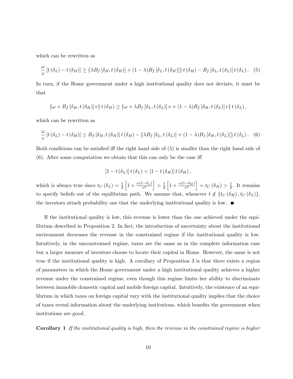which can be rewritten as

$$
\frac{\omega}{v}\left[t\left(\delta_{L}\right)-t\left(\delta_{H}\right)\right] \geq \left\{\lambda B_{f}\left[\delta_{H},t\left(\delta_{H}\right)\right]+(1-\lambda)B_{f}\left[\delta_{L},t\left(\delta_{H}\right)\right]\right\}t\left(\delta_{H}\right)-B_{f}\left[\delta_{L},t\left(\delta_{L}\right)\right]t\left(\delta_{L}\right). \tag{5}
$$

In turn, if the Home government under a high institutional quality does not deviate, it must be that

$$
\{\omega + B_f \left[\delta_H, t\left(\delta_H\right)\right]v\}t\left(\delta_H\right) \geq \{\omega + \lambda B_f \left[\delta_L, t\left(\delta_L\right)\right]v + (1-\lambda)B_f \left[\delta_H, t\left(\delta_L\right)\right]v\}t\left(\delta_L\right),
$$

which can be rewritten as

$$
\frac{\omega}{v}\left[t\left(\delta_{L}\right)-t\left(\delta_{H}\right)\right]\leq B_{f}\left[\delta_{H},t\left(\delta_{H}\right)\right]t\left(\delta_{H}\right)-\left\{\lambda B_{f}\left[\delta_{L},t\left(\delta_{L}\right)\right]+\left(1-\lambda\right)B_{f}\left[\delta_{H},t\left(\delta_{L}\right)\right]\right\}t\left(\delta_{L}\right).
$$
 (6)

Both conditions can be satisfied iff the right hand side of (5) is smaller than the right hand side of  $(6)$ . After some computation we obtain that this can only be the case iff

$$
[1-t(\delta_L)]t(\delta_L) < [1-t(\delta_H)]t(\delta_H),
$$

which is always true since  $t_{C}(\delta_{L}) = \frac{1}{2}$  $\left[1+\frac{\omega(1-\delta_L)}{v^2}\right] > \frac{1}{2}$ 2  $\left[1+\frac{\omega(1-\delta_H)}{v^2}\right] = t_C(\delta_H) > \frac{1}{2}$  $\frac{1}{2}$ . It remains to specify beliefs out of the equilibrium path. We assume that, whenever  $t \notin \{t_C (\delta_H), t_C (\delta_L)\}\$ , the investors attach probability one that the underlying institutional quality is low.  $\blacksquare$ 

If the institutional quality is low, this revenue is lower than the one achieved under the equilibrium described in Proposition 2. In fact, the introduction of uncertainty about the institutional environment decreases the revenue in the constrained regime if the institutional quality is low. Intuitively, in the unconstrained regime, taxes are the same as in the complete information case but a larger measure of investors choose to locate their capital in Home. However, the same is not true if the institutional quality is high. A corollary of Proposition 3 is that there exists a region of parameters in which the Home government under a high institutional quality achieves a higher revenue under the constrained regime, even though this regime limits her ability to discriminate between immobile domestic capital and mobile foreign capital. Intuitively, the existence of an equilibrium in which taxes on foreign capital vary with the institutional quality implies that the choice of taxes reveal information about the underlying institutions, which benefits the government when institutions are good.

Corollary 1 If the institutional quality is high, then the revenue in the constrained regime is higher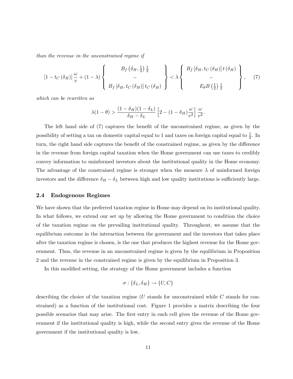than the revenue in the unconstrained regime if

$$
\left[1-t_{C}\left(\delta_{H}\right)\right]\frac{\omega}{v}+\left(1-\lambda\right)\left\{\begin{array}{c}B_{f}\left(\delta_{H},\frac{1}{2}\right)\frac{1}{2} \\ -\\B_{f}\left[\delta_{H},t_{C}\left(\delta_{H}\right)\right]t_{C}\left(\delta_{H}\right)\end{array}\right\}<\lambda\left\{\begin{array}{c}B_{f}\left[\delta_{H},t_{C}\left(\delta_{H}\right)\right]t\left(\delta_{H}\right) \\ -\\E_{\theta}B\left(\frac{1}{2}\right)\frac{1}{2}\end{array}\right\},\qquad(7)
$$

which can be rewritten as

$$
\lambda(1-\theta) > \frac{(1-\delta_H)(1-\delta_L)}{\delta_H - \delta_L} \left[2 - (1-\delta_H)\frac{\omega}{v^2}\right] \frac{\omega}{v^2}.
$$

The left hand side of (7) captures the benefit of the unconstrained regime, as given by the possibility of setting a tax on domestic capital equal to 1 and taxes on foreign capital equal to  $\frac{1}{2}$ . In turn, the right hand side captures the benefit of the constrained regime, as given by the difference in the revenue from foreign capital taxation when the Home government can use taxes to credibly convey information to uninformed investors about the institutional quality in the Home economy. The advantage of the constrained regime is stronger when the measure  $\lambda$  of uninformed foreign investors and the difference  $\delta_H - \delta_L$  between high and low quality institutions is sufficiently large.

#### 2.4 Endogenous Regimes

We have shown that the preferred taxation regime in Home may depend on its institutional quality. In what follows, we extend our set up by allowing the Home government to condition the choice of the taxation regime on the prevailing institutional quality. Throughout, we assume that the equilibrium outcome in the interaction between the government and the investors that takes place after the taxation regime is chosen, is the one that produces the highest revenue for the Home government. Thus, the revenue in an unconstrained regime is given by the equilibrium in Proposition 2 and the revenue in the constrained regime is given by the equilibrium in Proposition 3.

In this modified setting, the strategy of the Home government includes a function

$$
\sigma: \{\delta_L, \delta_H\} \to \{U, C\}
$$

describing the choice of the taxation regime ( $U$  stands for unconstrained while  $C$  stands for constrained) as a function of the institutional cost. Figure 1 provides a matrix describing the four possible scenarios that may arise. The first entry in each cell gives the revenue of the Home government if the institutional quality is high, while the second entry gives the revenue of the Home government if the institutional quality is low.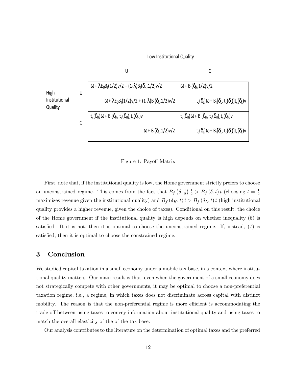

Low Institutional Quality

Figure 1: Payoff Matrix

First, note that, if the institutional quality is low, the Home government strictly prefers to choose an unconstrained regime. This comes from the fact that  $B_f(\delta, \frac{1}{2}) \frac{1}{2} > B_f(\delta, t) t$  (choosing  $t = \frac{1}{2}$ ) 2 maximizes revenue given the institutional quality) and  $B_f(\delta_H, t) t > B_f(\delta_L, t) t$  (high institutional quality provides a higher revenue, given the choice of taxes). Conditional on this result, the choice of the Home government if the institutional quality is high depends on whether inequality (6) is satisfied. It it is not, then it is optimal to choose the unconstrained regime. If, instead, (7) is satisfied, then it is optimal to choose the constrained regime.

### 3 Conclusion

We studied capital taxation in a small economy under a mobile tax base, in a context where institutional quality matters. Our main result is that, even when the government of a small economy does not strategically compete with other governments, it may be optimal to choose a non-preferential taxation regime, i.e., a regime, in which taxes does not discriminate across capital with distinct mobility. The reason is that the non-preferential regime is more efficient is accommodating the trade off between using taxes to convey information about institutional quality and using taxes to match the overall elasticity of the of the tax base.

Our analysis contributes to the literature on the determination of optimal taxes and the preferred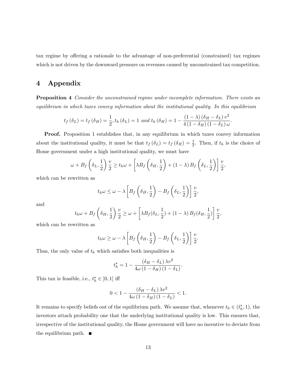tax regime by offering a rationale to the advantage of non-preferential (constrained) tax regimes which is not driven by the downward pressure on revenues caused by unconstrained tax competition.

### 4 Appendix

**Proposition 4** Consider the unconstrained regime under incomplete information. There exists an equilibrium in which taxes convey information about the institutional quality. In this equilibrium

$$
t_f(\delta_L) = t_f(\delta_H) = \frac{1}{2}, t_h(\delta_L) = 1 \text{ and } t_h(\delta_H) = 1 - \frac{(1-\lambda)(\delta_H - \delta_L)v^2}{4(1-\delta_H)(1-\delta_L)\omega}.
$$

Proof. Proposition 1 establishes that, in any equilibrium in which taxes convey information about the institutional quality, it must be that  $t_f(\delta_L) = t_f(\delta_H) = \frac{1}{2}$ . Then, if  $t_h$  is the choice of Home government under a high institutional quality, we must have

$$
\omega + B_f \left( \delta_L, \frac{1}{2} \right) \frac{v}{2} \ge t_h \omega + \left[ \lambda B_f \left( \delta_H, \frac{1}{2} \right) + (1 - \lambda) B_f \left( \delta_L, \frac{1}{2} \right) \right] \frac{v}{2},
$$

which can be rewritten as

$$
t_h \omega \leq \omega - \lambda \left[ B_f \left( \delta_H, \frac{1}{2} \right) - B_f \left( \delta_L, \frac{1}{2} \right) \right] \frac{v}{2},
$$

and

$$
t_h\omega + B_f\left(\delta_H, \frac{1}{2}\right) \frac{v}{2} \ge \omega + \left[\lambda B_f(\delta_L, \frac{1}{2}) + (1-\lambda) B_f(\delta_H, \frac{1}{2})\right] \frac{v}{2},
$$

which can be rewritten as

$$
t_h \omega \ge \omega - \lambda \left[ B_f \left( \delta_H, \frac{1}{2} \right) - B_f \left( \delta_L, \frac{1}{2} \right) \right] \frac{v}{2}.
$$

Thus, the only value of  $t<sub>h</sub>$  which satisfies both inequalities is

$$
t_h^* = 1 - \frac{(\delta_H - \delta_L) \lambda v^2}{4\omega (1 - \delta_H) (1 - \delta_L)}.
$$

This tax is feasible, i.e.,  $t_h^* \in [0, 1]$  iff

$$
0 < 1 - \frac{\left(\delta_H - \delta_L\right) \lambda v^2}{4\omega \left(1 - \delta_H\right) \left(1 - \delta_L\right)} < 1.
$$

It remains to specify beliefs out of the equilibrium path. We assume that, whenever  $t_h \in (t_h^*, 1)$ , the investors attach probability one that the underlying institutional quality is low. This ensures that, irrespective of the institutional quality, the Home government will have no incentive to deviate from the equilibrium path.  $\blacksquare$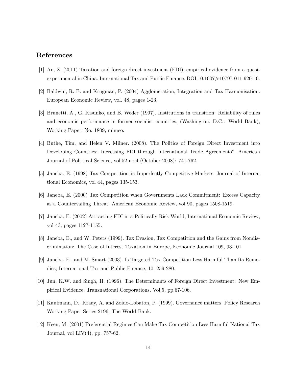# References

- [1] An, Z. (2011) Taxation and foreign direct investment (FDI): empirical evidence from a quasiexperimental in China. International Tax and Public Finance. DOI 10.1007/s10797-011-9201-0.
- [2] Baldwin, R. E. and Krugman, P. (2004) Agglomeration, Integration and Tax Harmonisation. European Economic Review, vol. 48, pages 1-23.
- [3] Brunetti, A., G. Kisunko, and B. Weder (1997). Institutions in transition: Reliability of rules and economic performance in former socialist countries, (Washington, D.C.: World Bank), Working Paper, No. 1809, mimeo.
- [4] Büthe, Tim, and Helen V. Milner. (2008). The Politics of Foreign Direct Investment into Developing Countries: Increasing FDI through International Trade Agreements? American Journal of Poli tical Science, vol.52 no.4 (October 2008): 741-762.
- [5] Janeba, E. (1998) Tax Competition in Imperfectly Competitive Markets. Journal of International Economics, vol 44, pages 135-153.
- [6] Janeba, E. (2000) Tax Competition when Governments Lack Commitment: Excess Capacity as a Countervailing Threat. American Economic Review, vol 90, pages 1508-1519.
- [7] Janeba, E. (2002) Attracting FDI in a Politically Risk World, International Economic Review, vol 43, pages 1127-1155.
- [8] Janeba, E., and W. Peters (1999). Tax Evasion, Tax Competition and the Gains from Nondiscrimination: The Case of Interest Taxation in Europe, Economic Journal 109, 93-101.
- [9] Janeba, E., and M. Smart (2003). Is Targeted Tax Competition Less Harmful Than Its Remedies, International Tax and Public Finance, 10, 259-280.
- [10] Jun, K.W. and Singh, H. (1996). The Determinants of Foreign Direct Investment: New Empirical Evidence, Transnational Corporations, Vol.5, pp.67-106.
- [11] Kaufmann, D., Kraay, A. and Zoido-Lobaton, P. (1999). Governance matters. Policy Research Working Paper Series 2196, The World Bank.
- [12] Keen, M. (2001) Preferential Regimes Can Make Tax Competition Less Harmful National Tax Journal, vol LIV(4), pp. 757-62.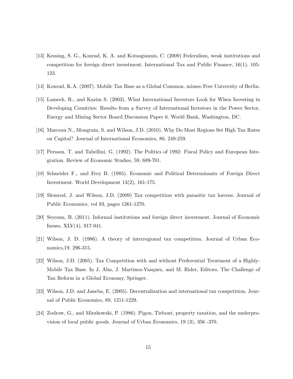- [13] Kessing, S. G., Konrad, K. A. and Kotsogiannis, C. (2009) Federalism, weak institutions and competition for foreign direct investment. International Tax and Public Finance, 16(1), 105- 123.
- [14] Konrad, K.A. (2007). Mobile Tax Base as a Global Common, mimeo Free University of Berlin.
- [15] Lamech, R., and Kazim S. (2003). What International Investors Look for When Investing in Developing Countries: Results from a Survey of International Investors in the Power Sector. Energy and Mining Sector Board Discussion Paper 6. World Bank, Washington, DC.
- [16] Marceau N., Mongrain, S. and Wilson, J.D. (2010). Why Do Most Regions Set High Tax Rates on Capital? Journal of International Economics, 80, 249-259.
- [17] Persson, T. and Tabellini, G. (1992). The Politics of 1992: Fiscal Policy and European Integration. Review of Economic Studies, 59, 689-701.
- [18] Schneider F., and Frey B. (1985). Economic and Political Determinants of Foreign Direct Investment. World Development 13(2), 161-175.
- [19] Slemrod, J. and Wilson, J.D. (2009) Tax competition with parasitic tax havens. Journal of Public Economics, vol 93, pages 1261-1270.
- [20] Seyoum, B. (2011). Informal institutions and foreign direct investment. Journal of Economic Issues, XLV(4), 917-941.
- [21] Wilson, J. D. (1986). A theory of interregional tax competition. Journal of Urban Economics,19, 296-315.
- [22] Wilson, J.D. (2005). Tax Competition with and without Preferential Treatment of a Highly-Mobile Tax Base. In J. Alm, J. Martinez-Vasquez, and M. Rider, Editors, The Challenge of Tax Reform in a Global Economy, Springer.
- [23] Wilson, J.D. and Janeba, E. (2005). Decentralization and international tax competition. Journal of Public Economics, 89, 1211-1229.
- [24] Zodrow, G., and Miezkowski, P. (1986). Pigou, Tiebout, property taxation, and the underprovision of local public goods. Journal of Urban Economics, 19 (3), 356 -370.